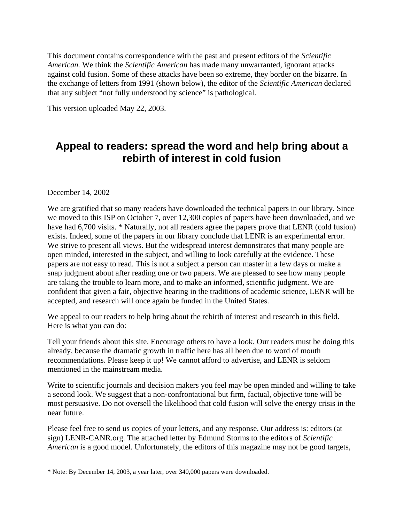This document contains correspondence with the past and present editors of the *Scientific American.* We think the *Scientific American* has made many unwarranted, ignorant attacks against cold fusion. Some of these attacks have been so extreme, they border on the bizarre. In the exchange of letters from 1991 (shown below), the editor of the *Scientific American* declared that any subject "not fully understood by science" is pathological.

This version uploaded May 22, 2003.

# **Appeal to readers: spread the word and help bring about a rebirth of interest in cold fusion**

December 14, 2002

l

We are gratified that so many readers have downloaded the technical papers in our library. Since we moved to this ISP on October 7, over 12,300 copies of papers have been downloaded, and we have had 6,700 visits. [\\*](#page-0-0) Naturally, not all readers agree the papers prove that LENR (cold fusion) exists. Indeed, some of the papers in our library conclude that LENR is an experimental error. We strive to present all views. But the widespread interest demonstrates that many people are open minded, interested in the subject, and willing to look carefully at the evidence. These papers are not easy to read. This is not a subject a person can master in a few days or make a snap judgment about after reading one or two papers. We are pleased to see how many people are taking the trouble to learn more, and to make an informed, scientific judgment. We are confident that given a fair, objective hearing in the traditions of academic science, LENR will be accepted, and research will once again be funded in the United States.

We appeal to our readers to help bring about the rebirth of interest and research in this field. Here is what you can do:

Tell your friends about this site. Encourage others to have a look. Our readers must be doing this already, because the dramatic growth in traffic here has all been due to word of mouth recommendations. Please keep it up! We cannot afford to advertise, and LENR is seldom mentioned in the mainstream media.

Write to scientific journals and decision makers you feel may be open minded and willing to take a second look. We suggest that a non-confrontational but firm, factual, objective tone will be most persuasive. Do not oversell the likelihood that cold fusion will solve the energy crisis in the near future.

Please feel free to send us copies of your letters, and any response. Our address is: editors (at sign) LENR-CANR.org. The attached letter by Edmund Storms to the editors of *Scientific American* is a good model. Unfortunately, the editors of this magazine may not be good targets,

<span id="page-0-0"></span><sup>\*</sup> Note: By December 14, 2003, a year later, over 340,000 papers were downloaded.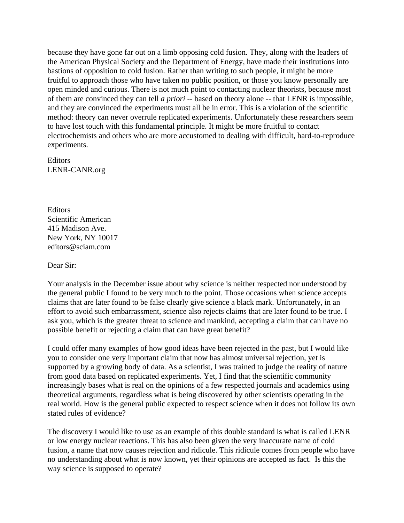because they have gone far out on a limb opposing cold fusion. They, along with the leaders of the American Physical Society and the Department of Energy, have made their institutions into bastions of opposition to cold fusion. Rather than writing to such people, it might be more fruitful to approach those who have taken no public position, or those you know personally are open minded and curious. There is not much point to contacting nuclear theorists, because most of them are convinced they can tell *a priori* -- based on theory alone -- that LENR is impossible, and they are convinced the experiments must all be in error. This is a violation of the scientific method: theory can never overrule replicated experiments. Unfortunately these researchers seem to have lost touch with this fundamental principle. It might be more fruitful to contact electrochemists and others who are more accustomed to dealing with difficult, hard-to-reproduce experiments.

Editors LENR-CANR.org

**Editors** Scientific American 415 Madison Ave. New York, NY 10017 [editors@sciam.com](mailto:editors@sciam.com)

Dear Sir:

Your analysis in the December issue about why science is neither respected nor understood by the general public I found to be very much to the point. Those occasions when science accepts claims that are later found to be false clearly give science a black mark. Unfortunately, in an effort to avoid such embarrassment, science also rejects claims that are later found to be true. I ask you, which is the greater threat to science and mankind, accepting a claim that can have no possible benefit or rejecting a claim that can have great benefit?

I could offer many examples of how good ideas have been rejected in the past, but I would like you to consider one very important claim that now has almost universal rejection, yet is supported by a growing body of data. As a scientist, I was trained to judge the reality of nature from good data based on replicated experiments. Yet, I find that the scientific community increasingly bases what is real on the opinions of a few respected journals and academics using theoretical arguments, regardless what is being discovered by other scientists operating in the real world. How is the general public expected to respect science when it does not follow its own stated rules of evidence?

The discovery I would like to use as an example of this double standard is what is called LENR or low energy nuclear reactions. This has also been given the very inaccurate name of cold fusion, a name that now causes rejection and ridicule. This ridicule comes from people who have no understanding about what is now known, yet their opinions are accepted as fact. Is this the way science is supposed to operate?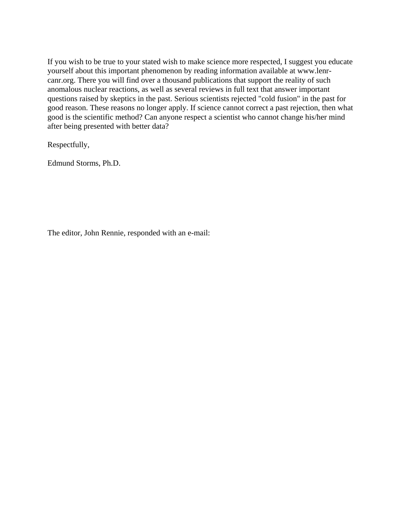If you wish to be true to your stated wish to make science more respected, I suggest you educate yourself about this important phenomenon by reading information available at [www.lenr](http://www.lenr-canr.org/)[canr.org.](http://www.lenr-canr.org/) There you will find over a thousand publications that support the reality of such anomalous nuclear reactions, as well as several reviews in full text that answer important questions raised by skeptics in the past. Serious scientists rejected "cold fusion" in the past for good reason. These reasons no longer apply. If science cannot correct a past rejection, then what good is the scientific method? Can anyone respect a scientist who cannot change his/her mind after being presented with better data?

Respectfully,

Edmund Storms, Ph.D.

The editor, John Rennie, responded with an e-mail: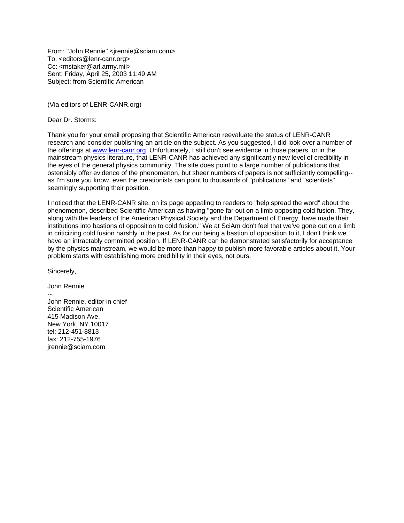From: "John Rennie" <jrennie@sciam.com> To: <editors@lenr-canr.org> Cc: <mstaker@arl.army.mil> Sent: Friday, April 25, 2003 11:49 AM Subject: from Scientific American

(Via editors of LENR-CANR.org)

Dear Dr. Storms:

Thank you for your email proposing that Scientific American reevaluate the status of LENR-CANR research and consider publishing an article on the subject. As you suggested, I did look over a number of the offerings at [www.lenr-canr.org](http://www.lenr-canr.org/). Unfortunately, I still don't see evidence in those papers, or in the mainstream physics literature, that LENR-CANR has achieved any significantly new level of credibility in the eyes of the general physics community. The site does point to a large number of publications that ostensibly offer evidence of the phenomenon, but sheer numbers of papers is not sufficiently compelling- as I'm sure you know, even the creationists can point to thousands of "publications" and "scientists" seemingly supporting their position.

I noticed that the LENR-CANR site, on its page appealing to readers to "help spread the word" about the phenomenon, described Scientific American as having "gone far out on a limb opposing cold fusion. They, along with the leaders of the American Physical Society and the Department of Energy, have made their institutions into bastions of opposition to cold fusion." We at SciAm don't feel that we've gone out on a limb in criticizing cold fusion harshly in the past. As for our being a bastion of opposition to it, I don't think we have an intractably committed position. If LENR-CANR can be demonstrated satisfactorily for acceptance by the physics mainstream, we would be more than happy to publish more favorable articles about it. Your problem starts with establishing more credibility in their eyes, not ours.

Sincerely,

John Rennie -- John Rennie, editor in chief Scientific American 415 Madison Ave. New York, NY 10017 tel: 212-451-8813 fax: 212-755-1976 jrennie@sciam.com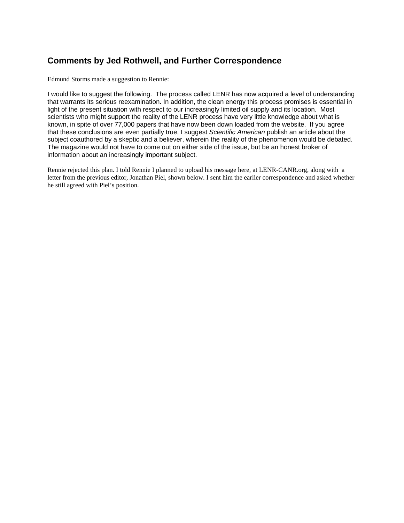### **Comments by Jed Rothwell, and Further Correspondence**

Edmund Storms made a suggestion to Rennie:

I would like to suggest the following. The process called LENR has now acquired a level of understanding that warrants its serious reexamination. In addition, the clean energy this process promises is essential in light of the present situation with respect to our increasingly limited oil supply and its location. Most scientists who might support the reality of the LENR process have very little knowledge about what is known, in spite of over 77,000 papers that have now been down loaded from the website. If you agree that these conclusions are even partially true, I suggest *Scientific American* publish an article about the subject coauthored by a skeptic and a believer, wherein the reality of the phenomenon would be debated. The magazine would not have to come out on either side of the issue, but be an honest broker of information about an increasingly important subject.

Rennie rejected this plan. I told Rennie I planned to upload his message here, at LENR-CANR.org, along with a letter from the previous editor, Jonathan Piel, shown below. I sent him the earlier correspondence and asked whether he still agreed with Piel's position.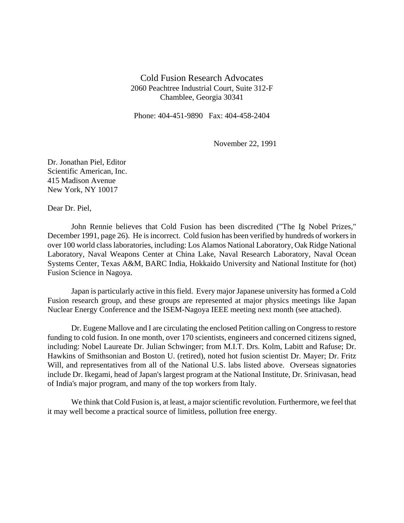Cold Fusion Research Advocates 2060 Peachtree Industrial Court, Suite 312-F Chamblee, Georgia 30341

Phone: 404-451-9890 Fax: 404-458-2404

November 22, 1991

Dr. Jonathan Piel, Editor Scientific American, Inc. 415 Madison Avenue New York, NY 10017

Dear Dr. Piel,

John Rennie believes that Cold Fusion has been discredited ("The Ig Nobel Prizes," December 1991, page 26). He is incorrect. Cold fusion has been verified by hundreds of workers in over 100 world class laboratories, including: Los Alamos National Laboratory, Oak Ridge National Laboratory, Naval Weapons Center at China Lake, Naval Research Laboratory, Naval Ocean Systems Center, Texas A&M, BARC India, Hokkaido University and National Institute for (hot) Fusion Science in Nagoya.

Japan is particularly active in this field. Every major Japanese university has formed a Cold Fusion research group, and these groups are represented at major physics meetings like Japan Nuclear Energy Conference and the ISEM-Nagoya IEEE meeting next month (see attached).

Dr. Eugene Mallove and I are circulating the enclosed Petition calling on Congress to restore funding to cold fusion. In one month, over 170 scientists, engineers and concerned citizens signed, including: Nobel Laureate Dr. Julian Schwinger; from M.I.T. Drs. Kolm, Labitt and Rafuse; Dr. Hawkins of Smithsonian and Boston U. (retired), noted hot fusion scientist Dr. Mayer; Dr. Fritz Will, and representatives from all of the National U.S. labs listed above. Overseas signatories include Dr. Ikegami, head of Japan's largest program at the National Institute, Dr. Srinivasan, head of India's major program, and many of the top workers from Italy.

We think that Cold Fusion is, at least, a major scientific revolution. Furthermore, we feel that it may well become a practical source of limitless, pollution free energy.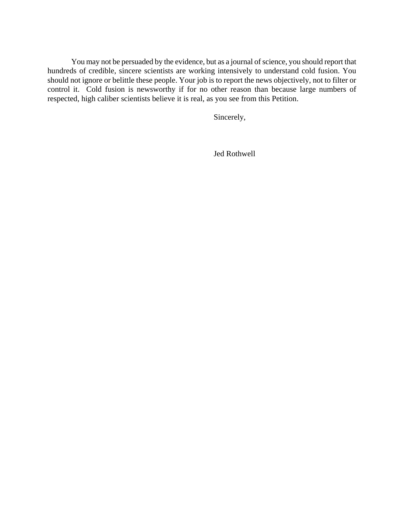You may not be persuaded by the evidence, but as a journal of science, you should report that hundreds of credible, sincere scientists are working intensively to understand cold fusion. You should not ignore or belittle these people. Your job is to report the news objectively, not to filter or control it. Cold fusion is newsworthy if for no other reason than because large numbers of respected, high caliber scientists believe it is real, as you see from this Petition.

Sincerely,

Jed Rothwell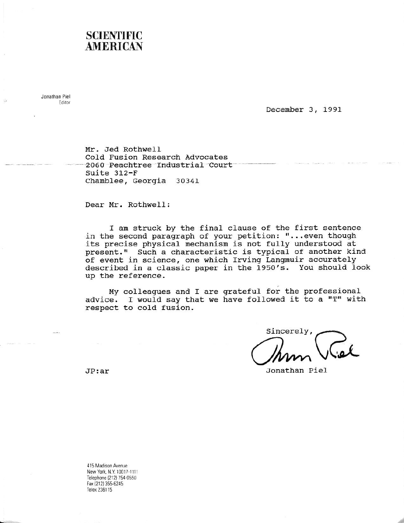## **SCIENTIFIC AMERICAN**

Jonathan Piel Editor

December 3, 1991

Mr. Jed Rothwell Cold Fusion Research Advocates 2060 Peachtree Industrial Court Suite 312-F Chamblee, Georgia 30341

Dear Mr. Rothwell:

I am struck by the final clause of the first sentence in the second paragraph of your petition: "...even though its precise physical mechanism is not fully understood at<br>present." Such a characteristic is typical of another kind of event in science, one which Irving Langmuir accurately described in a classic paper in the 1950's. You should look up the reference.

My colleagues and I are grateful for the professional advice. I would say that we have followed it to a "T" with respect to cold fusion.

Sincerely,

Jonathan Piel

 $JP:ar$ 

415 Madison Avenue New York, N.Y. 10017-1111 Telephone (212) 754-0550 Fax (212) 355-6245 Telex 236115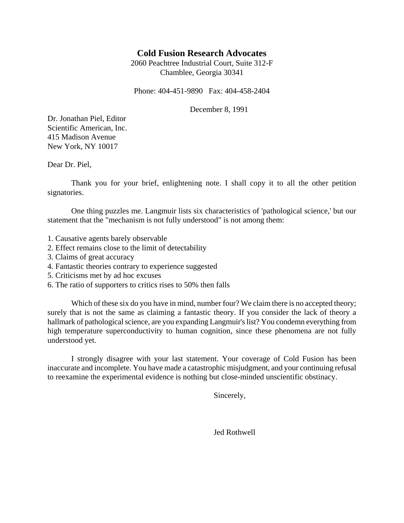### **Cold Fusion Research Advocates**

2060 Peachtree Industrial Court, Suite 312-F Chamblee, Georgia 30341

Phone: 404-451-9890 Fax: 404-458-2404

December 8, 1991

Dr. Jonathan Piel, Editor Scientific American, Inc. 415 Madison Avenue New York, NY 10017

Dear Dr. Piel,

Thank you for your brief, enlightening note. I shall copy it to all the other petition signatories.

One thing puzzles me. Langmuir lists six characteristics of 'pathological science,' but our statement that the "mechanism is not fully understood" is not among them:

- 1. Causative agents barely observable
- 2. Effect remains close to the limit of detectability
- 3. Claims of great accuracy
- 4. Fantastic theories contrary to experience suggested
- 5. Criticisms met by ad hoc excuses
- 6. The ratio of supporters to critics rises to 50% then falls

Which of these six do you have in mind, number four? We claim there is no accepted theory; surely that is not the same as claiming a fantastic theory. If you consider the lack of theory a hallmark of pathological science, are you expanding Langmuir's list? You condemn everything from high temperature superconductivity to human cognition, since these phenomena are not fully understood yet.

I strongly disagree with your last statement. Your coverage of Cold Fusion has been inaccurate and incomplete. You have made a catastrophic misjudgment, and your continuing refusal to reexamine the experimental evidence is nothing but close-minded unscientific obstinacy.

Sincerely,

Jed Rothwell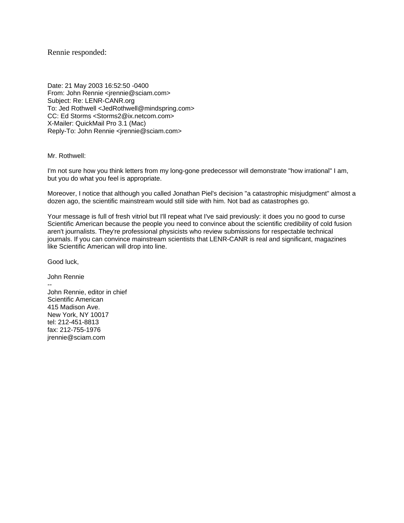Rennie responded:

Date: 21 May 2003 16:52:50 -0400 From: John Rennie <jrennie@sciam.com> Subject: Re: LENR-CANR.org To: Jed Rothwell <JedRothwell@mindspring.com> CC: Ed Storms <Storms2@ix.netcom.com> X-Mailer: QuickMail Pro 3.1 (Mac) Reply-To: John Rennie <jrennie@sciam.com>

Mr. Rothwell:

I'm not sure how you think letters from my long-gone predecessor will demonstrate "how irrational" I am, but you do what you feel is appropriate.

Moreover, I notice that although you called Jonathan Piel's decision "a catastrophic misjudgment" almost a dozen ago, the scientific mainstream would still side with him. Not bad as catastrophes go.

Your message is full of fresh vitriol but I'll repeat what I've said previously: it does you no good to curse Scientific American because the people you need to convince about the scientific credibility of cold fusion aren't journalists. They're professional physicists who review submissions for respectable technical journals. If you can convince mainstream scientists that LENR-CANR is real and significant, magazines like Scientific American will drop into line.

Good luck,

John Rennie -- John Rennie, editor in chief Scientific American 415 Madison Ave. New York, NY 10017 tel: 212-451-8813 fax: 212-755-1976 jrennie@sciam.com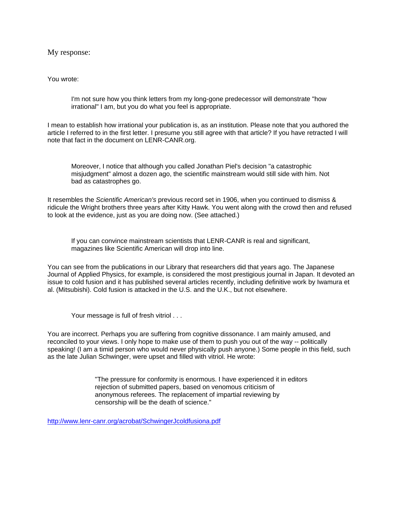My response:

You wrote:

I'm not sure how you think letters from my long-gone predecessor will demonstrate "how irrational" I am, but you do what you feel is appropriate.

I mean to establish how irrational your publication is, as an institution. Please note that you authored the article I referred to in the first letter. I presume you still agree with that article? If you have retracted I will note that fact in the document on LENR-CANR.org.

Moreover, I notice that although you called Jonathan Piel's decision "a catastrophic misjudgment" almost a dozen ago, the scientific mainstream would still side with him. Not bad as catastrophes go.

It resembles the *Scientific American's* previous record set in 1906, when you continued to dismiss & ridicule the Wright brothers three years after Kitty Hawk. You went along with the crowd then and refused to look at the evidence, just as you are doing now. (See attached.)

If you can convince mainstream scientists that LENR-CANR is real and significant, magazines like Scientific American will drop into line.

You can see from the publications in our Library that researchers did that years ago. The Japanese Journal of Applied Physics, for example, is considered the most prestigious journal in Japan. It devoted an issue to cold fusion and it has published several articles recently, including definitive work by Iwamura et al. (Mitsubishi). Cold fusion is attacked in the U.S. and the U.K., but not elsewhere.

Your message is full of fresh vitriol . . .

You are incorrect. Perhaps you are suffering from cognitive dissonance. I am mainly amused, and reconciled to your views. I only hope to make use of them to push you out of the way -- politically speaking! (I am a timid person who would never physically push anyone.) Some people in this field, such as the late Julian Schwinger, were upset and filled with vitriol. He wrote:

> "The pressure for conformity is enormous. I have experienced it in editors rejection of submitted papers, based on venomous criticism of anonymous referees. The replacement of impartial reviewing by censorship will be the death of science."

<http://www.lenr-canr.org/acrobat/SchwingerJcoldfusiona.pdf>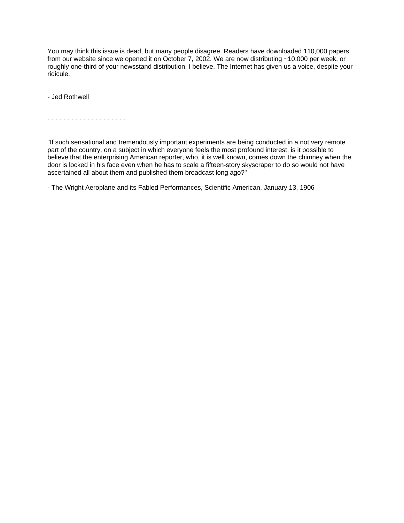You may think this issue is dead, but many people disagree. Readers have downloaded 110,000 papers from our website since we opened it on October 7, 2002. We are now distributing ~10,000 per week, or roughly one-third of your newsstand distribution, I believe. The Internet has given us a voice, despite your ridicule.

- Jed Rothwell

- - - - - - - - - - - - - - - - - - - -

"If such sensational and tremendously important experiments are being conducted in a not very remote part of the country, on a subject in which everyone feels the most profound interest, is it possible to believe that the enterprising American reporter, who, it is well known, comes down the chimney when the door is locked in his face even when he has to scale a fifteen-story skyscraper to do so would not have ascertained all about them and published them broadcast long ago?"

- The Wright Aeroplane and its Fabled Performances, Scientific American, January 13, 1906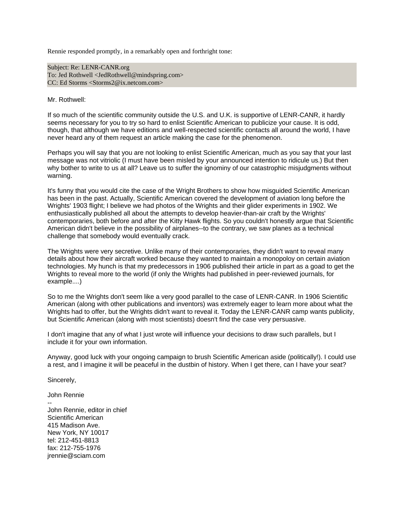Rennie responded promptly, in a remarkably open and forthright tone:

Subject: Re: LENR-CANR.org To: Jed Rothwell <JedRothwell@mindspring.com> CC: Ed Storms <Storms2@ix.netcom.com>

Mr. Rothwell:

If so much of the scientific community outside the U.S. and U.K. is supportive of LENR-CANR, it hardly seems necessary for you to try so hard to enlist Scientific American to publicize your cause. It is odd, though, that although we have editions and well-respected scientific contacts all around the world, I have never heard any of them request an article making the case for the phenomenon.

Perhaps you will say that you are not looking to enlist Scientific American, much as you say that your last message was not vitriolic (I must have been misled by your announced intention to ridicule us.) But then why bother to write to us at all? Leave us to suffer the ignominy of our catastrophic misjudgments without warning.

It's funny that you would cite the case of the Wright Brothers to show how misguided Scientific American has been in the past. Actually, Scientific American covered the development of aviation long before the Wrights' 1903 flight; I believe we had photos of the Wrights and their glider experiments in 1902. We enthusiastically published all about the attempts to develop heavier-than-air craft by the Wrights' contemporaries, both before and after the Kitty Hawk flights. So you couldn't honestly argue that Scientific American didn't believe in the possibility of airplanes--to the contrary, we saw planes as a technical challenge that somebody would eventually crack.

The Wrights were very secretive. Unlike many of their contemporaries, they didn't want to reveal many details about how their aircraft worked because they wanted to maintain a monopoloy on certain aviation technologies. My hunch is that my predecessors in 1906 published their article in part as a goad to get the Wrights to reveal more to the world (if only the Wrights had published in peer-reviewed journals, for example....)

So to me the Wrights don't seem like a very good parallel to the case of LENR-CANR. In 1906 Scientific American (along with other publications and inventors) was extremely eager to learn more about what the Wrights had to offer, but the Wrights didn't want to reveal it. Today the LENR-CANR camp wants publicity, but Scientific American (along with most scientists) doesn't find the case very persuasive.

I don't imagine that any of what I just wrote will influence your decisions to draw such parallels, but I include it for your own information.

Anyway, good luck with your ongoing campaign to brush Scientific American aside (politically!). I could use a rest, and I imagine it will be peaceful in the dustbin of history. When I get there, can I have your seat?

Sincerely,

--

John Rennie

John Rennie, editor in chief Scientific American 415 Madison Ave. New York, NY 10017 tel: 212-451-8813 fax: 212-755-1976 jrennie@sciam.com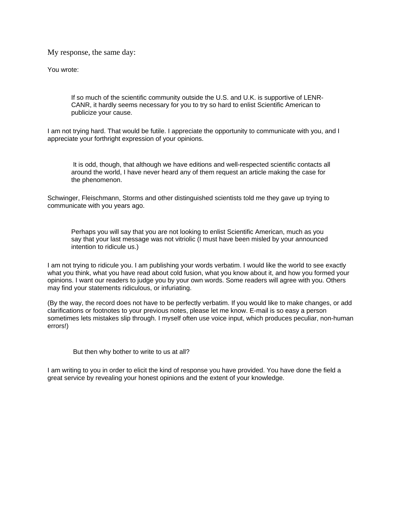My response, the same day:

You wrote:

If so much of the scientific community outside the U.S. and U.K. is supportive of LENR-CANR, it hardly seems necessary for you to try so hard to enlist Scientific American to publicize your cause.

I am not trying hard. That would be futile. I appreciate the opportunity to communicate with you, and I appreciate your forthright expression of your opinions.

 It is odd, though, that although we have editions and well-respected scientific contacts all around the world, I have never heard any of them request an article making the case for the phenomenon.

Schwinger, Fleischmann, Storms and other distinguished scientists told me they gave up trying to communicate with you years ago.

Perhaps you will say that you are not looking to enlist Scientific American, much as you say that your last message was not vitriolic (I must have been misled by your announced intention to ridicule us.)

I am not trying to ridicule you. I am publishing your words verbatim. I would like the world to see exactly what you think, what you have read about cold fusion, what you know about it, and how you formed your opinions. I want our readers to judge you by your own words. Some readers will agree with you. Others may find your statements ridiculous, or infuriating.

(By the way, the record does not have to be perfectly verbatim. If you would like to make changes, or add clarifications or footnotes to your previous notes, please let me know. E-mail is so easy a person sometimes lets mistakes slip through. I myself often use voice input, which produces peculiar, non-human errors!)

But then why bother to write to us at all?

I am writing to you in order to elicit the kind of response you have provided. You have done the field a great service by revealing your honest opinions and the extent of your knowledge.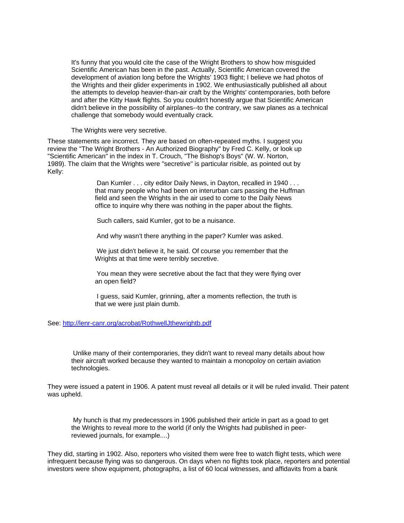It's funny that you would cite the case of the Wright Brothers to show how misguided Scientific American has been in the past. Actually, Scientific American covered the development of aviation long before the Wrights' 1903 flight; I believe we had photos of the Wrights and their glider experiments in 1902. We enthusiastically published all about the attempts to develop heavier-than-air craft by the Wrights' contemporaries, both before and after the Kitty Hawk flights. So you couldn't honestly argue that Scientific American didn't believe in the possibility of airplanes--to the contrary, we saw planes as a technical challenge that somebody would eventually crack.

The Wrights were very secretive.

These statements are incorrect. They are based on often-repeated myths. I suggest you review the "The Wright Brothers - An Authorized Biography" by Fred C. Kelly, or look up "Scientific American" in the index in T. Crouch, "The Bishop's Boys" (W. W. Norton, 1989). The claim that the Wrights were "secretive" is particular risible, as pointed out by Kelly:

> Dan Kumler . . . city editor Daily News, in Dayton, recalled in 1940... that many people who had been on interurban cars passing the Huffman field and seen the Wrights in the air used to come to the Daily News office to inquire why there was nothing in the paper about the flights.

Such callers, said Kumler, got to be a nuisance.

And why wasn't there anything in the paper? Kumler was asked.

 We just didn't believe it, he said. Of course you remember that the Wrights at that time were terribly secretive.

 You mean they were secretive about the fact that they were flying over an open field?

 I guess, said Kumler, grinning, after a moments reflection, the truth is that we were just plain dumb.

See:<http://lenr-canr.org/acrobat/RothwellJthewrightb.pdf>

 Unlike many of their contemporaries, they didn't want to reveal many details about how their aircraft worked because they wanted to maintain a monopoloy on certain aviation technologies.

They were issued a patent in 1906. A patent must reveal all details or it will be ruled invalid. Their patent was upheld.

 My hunch is that my predecessors in 1906 published their article in part as a goad to get the Wrights to reveal more to the world (if only the Wrights had published in peerreviewed journals, for example....)

They did, starting in 1902. Also, reporters who visited them were free to watch flight tests, which were infrequent because flying was so dangerous. On days when no flights took place, reporters and potential investors were show equipment, photographs, a list of 60 local witnesses, and affidavits from a bank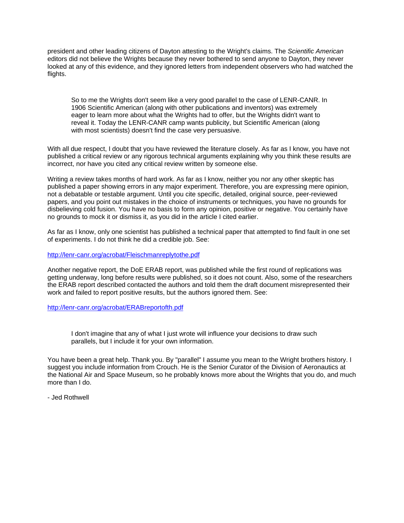president and other leading citizens of Dayton attesting to the Wright's claims. The *Scientific American* editors did not believe the Wrights because they never bothered to send anyone to Dayton, they never looked at any of this evidence, and they ignored letters from independent observers who had watched the flights.

So to me the Wrights don't seem like a very good parallel to the case of LENR-CANR. In 1906 Scientific American (along with other publications and inventors) was extremely eager to learn more about what the Wrights had to offer, but the Wrights didn't want to reveal it. Today the LENR-CANR camp wants publicity, but Scientific American (along with most scientists) doesn't find the case very persuasive.

With all due respect, I doubt that you have reviewed the literature closely. As far as I know, you have not published a critical review or any rigorous technical arguments explaining why you think these results are incorrect, nor have you cited any critical review written by someone else.

Writing a review takes months of hard work. As far as I know, neither you nor any other skeptic has published a paper showing errors in any major experiment. Therefore, you are expressing mere opinion, not a debatable or testable argument. Until you cite specific, detailed, original source, peer-reviewed papers, and you point out mistakes in the choice of instruments or techniques, you have no grounds for disbelieving cold fusion. You have no basis to form any opinion, positive or negative. You certainly have no grounds to mock it or dismiss it, as you did in the article I cited earlier.

As far as I know, only one scientist has published a technical paper that attempted to find fault in one set of experiments. I do not think he did a credible job. See:

<http://lenr-canr.org/acrobat/Fleischmanreplytothe.pdf>

Another negative report, the DoE ERAB report, was published while the first round of replications was getting underway, long before results were published, so it does not count. Also, some of the researchers the ERAB report described contacted the authors and told them the draft document misrepresented their work and failed to report positive results, but the authors ignored them. See:

<http://lenr-canr.org/acrobat/ERABreportofth.pdf>

I don't imagine that any of what I just wrote will influence your decisions to draw such parallels, but I include it for your own information.

You have been a great help. Thank you. By "parallel" I assume you mean to the Wright brothers history. I suggest you include information from Crouch. He is the Senior Curator of the Division of Aeronautics at the National Air and Space Museum, so he probably knows more about the Wrights that you do, and much more than I do.

- Jed Rothwell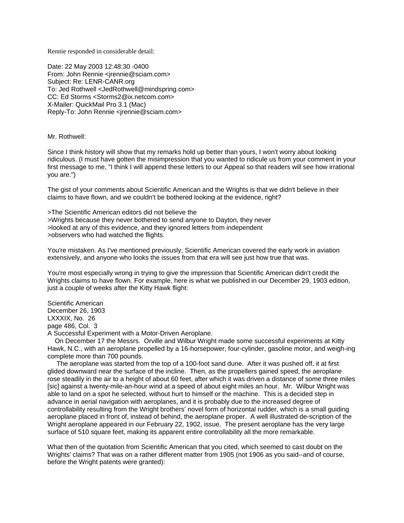Rennie responded in considerable detail:

Date: 22 May 2003 12:48:30 -0400 From: John Rennie <jrennie@sciam.com> Subject: Re: LENR-CANR.org To: Jed Rothwell <JedRothwell@mindspring.com> CC: Ed Storms <Storms2@ix.netcom.com> X-Mailer: QuickMail Pro 3.1 (Mac) Reply-To: John Rennie <jrennie@sciam.com>

#### Mr. Rothwell:

Since I think history will show that my remarks hold up better than yours, I won't worry about looking ridiculous. (I must have gotten the misimpression that you wanted to ridicule us from your comment in your first message to me, "I think I will append these letters to our Appeal so that readers will see how irrational you are.")

The gist of your comments about Scientific American and the Wrights is that we didn't believe in their claims to have flown, and we couldn't be bothered looking at the evidence, right?

>The Scientific American editors did not believe the >Wrights because they never bothered to send anyone to Dayton, they never >looked at any of this evidence, and they ignored letters from independent >observers who had watched the flights.

You're mistaken. As I've mentioned previously, Scientific American covered the early work in aviation extensively, and anyone who looks the issues from that era will see just how true that was.

You're most especially wrong in trying to give the impression that Scientific American didn't credit the Wrights claims to have flown. For example, here is what we published in our December 29, 1903 edition, just a couple of weeks after the Kitty Hawk flight:

Scientific American December 26, 1903 LXXXIX, No. 26 page 486, Col. 3 A Successful Experiment with a Motor-Driven Aeroplane.

 On December 17 the Messrs. Orville and Wilbur Wright made some successful experiments at Kitty Hawk, N.C., with an aeroplane propelled by a 16-horsepower, four-cylinder, gasoline motor, and weigh-ing complete more than 700 pounds.

 The aeroplane was started from the top of a 100-foot sand dune. After it was pushed off, it at first glided downward near the surface of the incline. Then, as the propellers gained speed, the aeroplane rose steadily in the air to a height of about 60 feet, after which it was driven a distance of some three miles [sic] against a twenty-mile-an-hour wind at a speed of about eight miles an hour. Mr. Wilbur Wright was able to land on a spot he selected, without hurt to himself or the machine. This is a decided step in advance in aerial navigation with aeroplanes, and it is probably due to the increased degree of controllability resulting from the Wright brothers' novel form of horizontal rudder, which is a small guiding aeroplane placed in front of, instead of behind, the aeroplane proper. A well illustrated de-scription of the Wright aeroplane appeared in our February 22, 1902, issue. The present aeroplane has the very large surface of 510 square feet, making its apparent entire controllability all the more remarkable.

What then of the quotation from Scientific American that you cited, which seemed to cast doubt on the Wrights' claims? That was on a rather different matter from 1905 (not 1906 as you said--and of course, before the Wright patents were granted):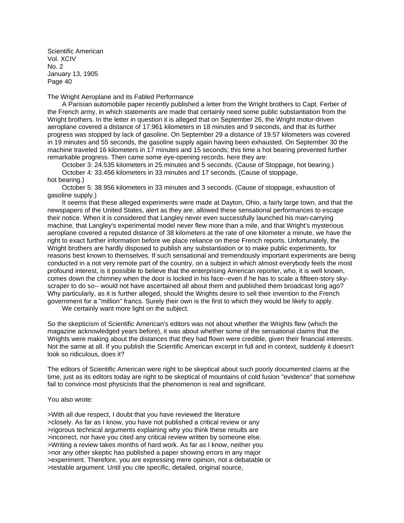Scientific American Vol. XCIV No. 2 January 13, 1905 Page 40

The Wright Aeroplane and its Fabled Performance

 A Parisian automobile paper recently published a letter from the Wright brothers to Capt. Ferber of the French army, in which statements are made that certainly need some public substantiation from the Wright brothers. In the letter in question it is alleged that on September 26, the Wright motor-driven aeroplane covered a distance of 17.961 kilometers in 18 minutes and 9 seconds, and that its further progress was stopped by lack of gasoline. On September 29 a distance of 19.57 kilometers was covered in 19 minutes and 55 seconds, the gasoline supply again having been exhausted. On September 30 the machine traveled 16 kilometers in 17 minutes and 15 seconds; this time a hot bearing prevented further remarkable progress. Then came some eye-opening records. here they are:

 October 3: 24.535 kilometers in 25 minutes and 5 seconds. (Cause of Stoppage, hot bearing.) October 4: 33.456 kilometers in 33 minutes and 17 seconds. (Cause of stoppage,

hot bearing.) October 5: 38.956 kilometers in 33 minutes and 3 seconds. (Cause of stoppage, exhaustion of gasoline supply.)

 It seems that these alleged experiments were made at Dayton, Ohio, a fairly large town, and that the newspapers of the United States, alert as they are, allowed these sensational performances to escape their notice. When it is considered that Langley never even successfully launched his man-carrying machine, that Langley's experimental model never flew more than a mile, and that Wright's mysterious aeroplane covered a reputed distance of 38 kilometers at the rate of one kilometer a minute, we have the right to exact further information before we place reliance on these French reports. Unfortunately, the Wright brothers are hardly disposed to publish any substantiation or to make public experiments, for reasons best known to themselves. If such sensational and tremendously important experiments are being conducted in a not very remote part of the country, on a subject in which almost everybody feels the most profound interest, is it possible to believe that the enterprising American reporter, who, it is well known, comes down the chimney when the door is locked in his face--even if he has to scale a fifteen-story skyscraper to do so-- would not have ascertained all about them and published them broadcast long ago? Why particularly, as it is further alleged, should the Wrights desire to sell their invention to the French government for a "million" francs. Surely their own is the first to which they would be likely to apply.

We certainly want more light on the subject.

So the skepticism of Scientific American's editors was not about whether the Wrights flew (which the magazine acknowledged years before), it was about whether some of the sensational claims that the Wrights were making about the distances that they had flown were credible, given their financial interests. Not the same at all. If you publish the Scientific American excerpt in full and in context, suddenly it doesn't look so ridiculous, does it?

The editors of Scientific American were right to be skeptical about such poorly documented claims at the time, just as its editors today are right to be skeptical of mountains of cold fusion "evidence" that somehow fail to convince most physicists that the phenomenon is real and significant.

#### You also wrote:

>With all due respect, I doubt that you have reviewed the literature >closely. As far as I know, you have not published a critical review or any >rigorous technical arguments explaining why you think these results are >incorrect, nor have you cited any critical review written by someone else. >Writing a review takes months of hard work. As far as I know, neither you >nor any other skeptic has published a paper showing errors in any major >experiment. Therefore, you are expressing mere opinion, not a debatable or >testable argument. Until you cite specific, detailed, original source,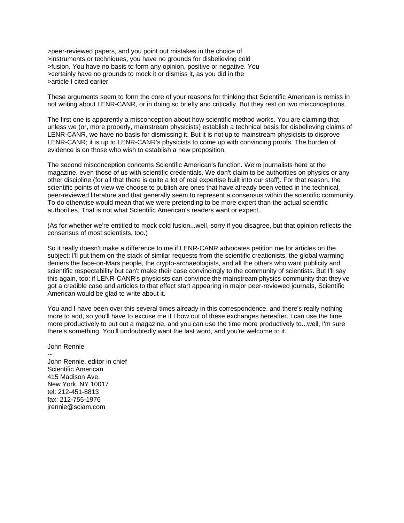>peer-reviewed papers, and you point out mistakes in the choice of >instruments or techniques, you have no grounds for disbelieving cold >fusion. You have no basis to form any opinion, positive or negative. You >certainly have no grounds to mock it or dismiss it, as you did in the >article I cited earlier.

These arguments seem to form the core of your reasons for thinking that Scientific American is remiss in not writing about LENR-CANR, or in doing so briefly and critically. But they rest on two misconceptions.

The first one is apparently a misconception about how scientific method works. You are claiming that unless we (or, more properly, mainstream physicists) establish a technical basis for disbelieving claims of LENR-CANR, we have no basis for dismissing it. But it is not up to mainstream physicists to disprove LENR-CANR; it is up to LENR-CANR's physicists to come up with convincing proofs. The burden of evidence is on those who wish to establish a new proposition.

The second misconception concerns Scientific American's function. We're journalists here at the magazine, even those of us with scientific credentials. We don't claim to be authorities on physics or any other discipline (for all that there is quite a lot of real expertise built into our staff). For that reason, the scientific points of view we choose to publish are ones that have already been vetted in the technical, peer-reviewed literature and that generally seem to represent a consensus within the scientific community. To do otherwise would mean that we were pretending to be more expert than the actual scientific authorities. That is not what Scientific American's readers want or expect.

(As for whether we're entitled to mock cold fusion...well, sorry if you disagree, but that opinion reflects the consensus of most scientists, too.)

So it really doesn't make a difference to me if LENR-CANR advocates petition me for articles on the subject; I'll put them on the stack of similar requests from the scientific creationists, the global warming deniers the face-on-Mars people, the crypto-archaeologists, and all the others who want publicity and scientific respectability but can't make their case convincingly to the community of scientists. But I'll say this again, too: if LENR-CANR's physicists can convince the mainstream physics community that they've got a credible case and articles to that effect start appearing in major peer-reviewed journals, Scientific American would be glad to write about it.

You and I have been over this several times already in this correspondence, and there's really nothing more to add, so you'll have to excuse me if I bow out of these exchanges hereafter. I can use the time more productively to put out a magazine, and you can use the time more productively to...well, I'm sure there's something. You'll undoubtedly want the last word, and you're welcome to it.

### John Rennie

-- John Rennie, editor in chief Scientific American 415 Madison Ave. New York, NY 10017 tel: 212-451-8813 fax: 212-755-1976 jrennie@sciam.com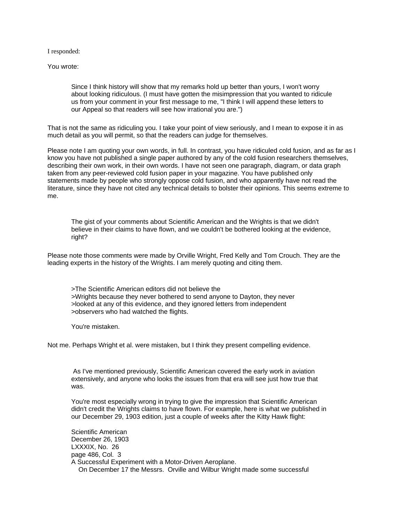I responded:

You wrote:

Since I think history will show that my remarks hold up better than yours, I won't worry about looking ridiculous. (I must have gotten the misimpression that you wanted to ridicule us from your comment in your first message to me, "I think I will append these letters to our Appeal so that readers will see how irrational you are.")

That is not the same as ridiculing you. I take your point of view seriously, and I mean to expose it in as much detail as you will permit, so that the readers can judge for themselves.

Please note I am quoting your own words, in full. In contrast, you have ridiculed cold fusion, and as far as I know you have not published a single paper authored by any of the cold fusion researchers themselves, describing their own work, in their own words. I have not seen one paragraph, diagram, or data graph taken from any peer-reviewed cold fusion paper in your magazine. You have published only statements made by people who strongly oppose cold fusion, and who apparently have not read the literature, since they have not cited any technical details to bolster their opinions. This seems extreme to me.

The gist of your comments about Scientific American and the Wrights is that we didn't believe in their claims to have flown, and we couldn't be bothered looking at the evidence, right?

Please note those comments were made by Orville Wright, Fred Kelly and Tom Crouch. They are the leading experts in the history of the Wrights. I am merely quoting and citing them.

>The Scientific American editors did not believe the >Wrights because they never bothered to send anyone to Dayton, they never >looked at any of this evidence, and they ignored letters from independent >observers who had watched the flights.

You're mistaken.

Not me. Perhaps Wright et al. were mistaken, but I think they present compelling evidence.

 As I've mentioned previously, Scientific American covered the early work in aviation extensively, and anyone who looks the issues from that era will see just how true that was.

You're most especially wrong in trying to give the impression that Scientific American didn't credit the Wrights claims to have flown. For example, here is what we published in our December 29, 1903 edition, just a couple of weeks after the Kitty Hawk flight:

Scientific American December 26, 1903 LXXXIX, No. 26 page 486, Col. 3 A Successful Experiment with a Motor-Driven Aeroplane. On December 17 the Messrs. Orville and Wilbur Wright made some successful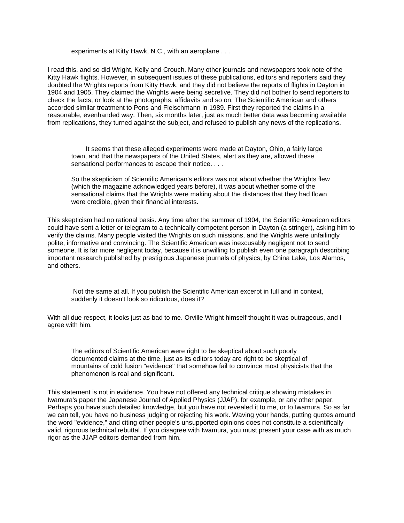experiments at Kitty Hawk, N.C., with an aeroplane . . .

I read this, and so did Wright, Kelly and Crouch. Many other journals and newspapers took note of the Kitty Hawk flights. However, in subsequent issues of these publications, editors and reporters said they doubted the Wrights reports from Kitty Hawk, and they did not believe the reports of flights in Dayton in 1904 and 1905. They claimed the Wrights were being secretive. They did not bother to send reporters to check the facts, or look at the photographs, affidavits and so on. The Scientific American and others accorded similar treatment to Pons and Fleischmann in 1989. First they reported the claims in a reasonable, evenhanded way. Then, six months later, just as much better data was becoming available from replications, they turned against the subject, and refused to publish any news of the replications.

 It seems that these alleged experiments were made at Dayton, Ohio, a fairly large town, and that the newspapers of the United States, alert as they are, allowed these sensational performances to escape their notice. . . .

So the skepticism of Scientific American's editors was not about whether the Wrights flew (which the magazine acknowledged years before), it was about whether some of the sensational claims that the Wrights were making about the distances that they had flown were credible, given their financial interests.

This skepticism had no rational basis. Any time after the summer of 1904, the Scientific American editors could have sent a letter or telegram to a technically competent person in Dayton (a stringer), asking him to verify the claims. Many people visited the Wrights on such missions, and the Wrights were unfailingly polite, informative and convincing. The Scientific American was inexcusably negligent not to send someone. It is far more negligent today, because it is unwilling to publish even one paragraph describing important research published by prestigious Japanese journals of physics, by China Lake, Los Alamos, and others.

 Not the same at all. If you publish the Scientific American excerpt in full and in context, suddenly it doesn't look so ridiculous, does it?

With all due respect, it looks just as bad to me. Orville Wright himself thought it was outrageous, and I agree with him.

The editors of Scientific American were right to be skeptical about such poorly documented claims at the time, just as its editors today are right to be skeptical of mountains of cold fusion "evidence" that somehow fail to convince most physicists that the phenomenon is real and significant.

This statement is not in evidence. You have not offered any technical critique showing mistakes in Iwamura's paper the Japanese Journal of Applied Physics (JJAP), for example, or any other paper. Perhaps you have such detailed knowledge, but you have not revealed it to me, or to Iwamura. So as far we can tell, you have no business judging or rejecting his work. Waving your hands, putting quotes around the word "evidence," and citing other people's unsupported opinions does not constitute a scientifically valid, rigorous technical rebuttal. If you disagree with Iwamura, you must present your case with as much rigor as the JJAP editors demanded from him.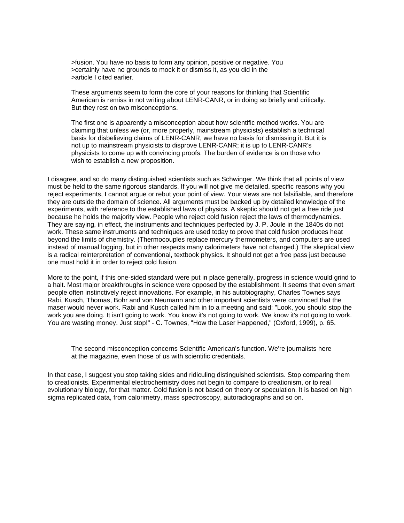>fusion. You have no basis to form any opinion, positive or negative. You >certainly have no grounds to mock it or dismiss it, as you did in the >article I cited earlier.

These arguments seem to form the core of your reasons for thinking that Scientific American is remiss in not writing about LENR-CANR, or in doing so briefly and critically. But they rest on two misconceptions.

The first one is apparently a misconception about how scientific method works. You are claiming that unless we (or, more properly, mainstream physicists) establish a technical basis for disbelieving claims of LENR-CANR, we have no basis for dismissing it. But it is not up to mainstream physicists to disprove LENR-CANR; it is up to LENR-CANR's physicists to come up with convincing proofs. The burden of evidence is on those who wish to establish a new proposition.

I disagree, and so do many distinguished scientists such as Schwinger. We think that all points of view must be held to the same rigorous standards. If you will not give me detailed, specific reasons why you reject experiments, I cannot argue or rebut your point of view. Your views are not falsifiable, and therefore they are outside the domain of science. All arguments must be backed up by detailed knowledge of the experiments, with reference to the established laws of physics. A skeptic should not get a free ride just because he holds the majority view. People who reject cold fusion reject the laws of thermodynamics. They are saying, in effect, the instruments and techniques perfected by J. P. Joule in the 1840s do not work. These same instruments and techniques are used today to prove that cold fusion produces heat beyond the limits of chemistry. (Thermocouples replace mercury thermometers, and computers are used instead of manual logging, but in other respects many calorimeters have not changed.) The skeptical view is a radical reinterpretation of conventional, textbook physics. It should not get a free pass just because one must hold it in order to reject cold fusion.

More to the point, if this one-sided standard were put in place generally, progress in science would grind to a halt. Most major breakthroughs in science were opposed by the establishment. It seems that even smart people often instinctively reject innovations. For example, in his autobiography, Charles Townes says Rabi, Kusch, Thomas, Bohr and von Neumann and other important scientists were convinced that the maser would never work. Rabi and Kusch called him in to a meeting and said: "Look, you should stop the work you are doing. It isn't going to work. You know it's not going to work. We know it's not going to work. You are wasting money. Just stop!" - C. Townes, "How the Laser Happened," (Oxford, 1999), p. 65.

The second misconception concerns Scientific American's function. We're journalists here at the magazine, even those of us with scientific credentials.

In that case, I suggest you stop taking sides and ridiculing distinguished scientists. Stop comparing them to creationists. Experimental electrochemistry does not begin to compare to creationism, or to real evolutionary biology, for that matter. Cold fusion is not based on theory or speculation. It is based on high sigma replicated data, from calorimetry, mass spectroscopy, autoradiographs and so on.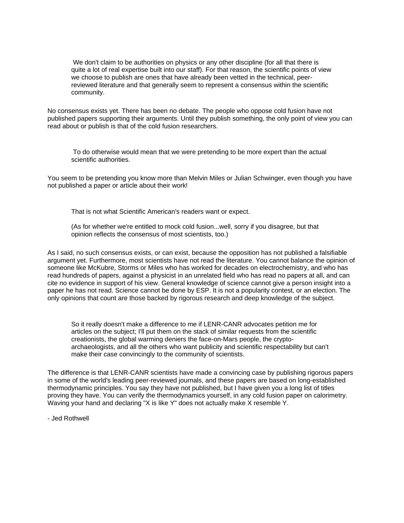We don't claim to be authorities on physics or any other discipline (for all that there is quite a lot of real expertise built into our staff). For that reason, the scientific points of view we choose to publish are ones that have already been vetted in the technical, peerreviewed literature and that generally seem to represent a consensus within the scientific community.

No consensus exists yet. There has been no debate. The people who oppose cold fusion have not published papers supporting their arguments. Until they publish something, the only point of view you can read about or publish is that of the cold fusion researchers.

 To do otherwise would mean that we were pretending to be more expert than the actual scientific authorities.

You seem to be pretending you know more than Melvin Miles or Julian Schwinger, even though you have not published a paper or article about their work!

That is not what Scientific American's readers want or expect.

(As for whether we're entitled to mock cold fusion...well, sorry if you disagree, but that opinion reflects the consensus of most scientists, too.)

As I said, no such consensus exists, or can exist, because the opposition has not published a falsifiable argument yet. Furthermore, most scientists have not read the literature. You cannot balance the opinion of someone like McKubre, Storms or Miles who has worked for decades on electrochemistry, and who has read hundreds of papers, against a physicist in an unrelated field who has read no papers at all, and can cite no evidence in support of his view. General knowledge of science cannot give a person insight into a paper he has not read. Science cannot be done by ESP. It is not a popularity contest, or an election. The only opinions that count are those backed by rigorous research and deep knowledge of the subject.

So it really doesn't make a difference to me if LENR-CANR advocates petition me for articles on the subject; I'll put them on the stack of similar requests from the scientific creationists, the global warming deniers the face-on-Mars people, the cryptoarchaeologists, and all the others who want publicity and scientific respectability but can't make their case convincingly to the community of scientists.

The difference is that LENR-CANR scientists have made a convincing case by publishing rigorous papers in some of the world's leading peer-reviewed journals, and these papers are based on long-established thermodynamic principles. You say they have not published, but I have given you a long list of titles proving they have. You can verify the thermodynamics yourself, in any cold fusion paper on calorimetry. Waving your hand and declaring "X is like Y" does not actually make X resemble Y.

- Jed Rothwell